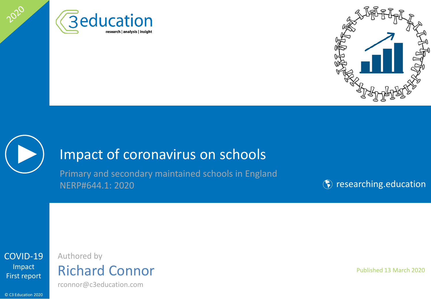





2020

## Impact of coronavirus on schools

Primary and secondary maintained schools in England NERP#644.1: 2020

**(\*)** [researching.education](http://www.researching.education/)

[COVID-19](#page-1-0) Impact First report

## Authored by Richard Connor

rconnor@c3education.com

© C3 Education 2020

Published 13 March 2020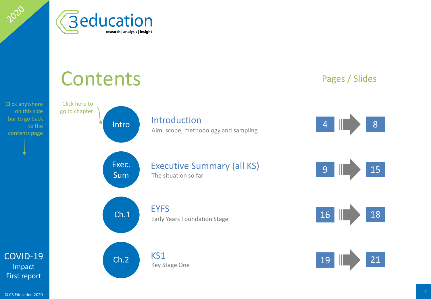

### [COVID-19](#page-1-0) Impact [Intro](#page-3-0)duction 4 8 Pages / Slides [Exec.](#page-8-0)  Sum Executive Summary (all KS) 9 15  $\begin{array}{|c|c|c|c|c|}\n\hline\n\text{Ch.1} & \text{EYFS} \\
\hline\n\text{Farly Years Foundation Stage} & & & 16 & \text{18}\n\hline\n\end{array}$  $\begin{array}{|c|c|c|c|c|}\n\hline\n\text{Ch.1} & \text{EYFS} \\
\hline\n\text{Farly Years Foundation Stage} & & & 16 & \text{18}\n\hline\n\end{array}$  $\begin{array}{|c|c|c|c|c|}\n\hline\n\text{Ch.1} & \text{EYFS} \\
\hline\n\text{Farly Years Foundation Stage} & & & 16 & \text{18}\n\hline\n\end{array}$  $\begin{array}{|c|c|c|c|c|}\n\hline\n\text{Ch.2} & \text{KS1} \\
\hline\n\text{Kou Stage One} & \text{Ope}\n\hline\n\end{array}$  $\begin{array}{|c|c|c|c|c|}\n\hline\n\text{Ch.2} & \text{KS1} \\
\hline\n\text{Kou Stage One} & \text{Ope}\n\hline\n\end{array}$  $\begin{array}{|c|c|c|c|c|}\n\hline\n\text{Ch.2} & \text{KS1} \\
\hline\n\text{Kou Stage One} & \text{Ope}\n\hline\n\end{array}$ Click here to go to chapter **Contents** Click anywhere on this side bar to go back to the contents page and sampling and sampling and sampling and sampling and sampling contents page The situation so far Early Years Foundation Stage Key Stage One

First report

<span id="page-1-0"></span>2020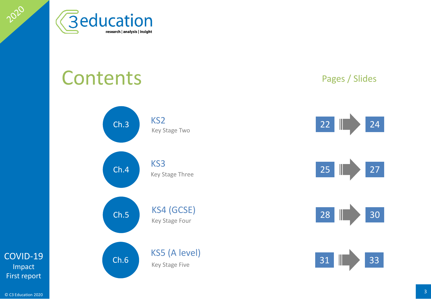

## **Contents**



### Pages / Slides









[COVID-19](#page-1-0) Impact First report

2020

 $\degree$  C3 Education 2020  $\degree$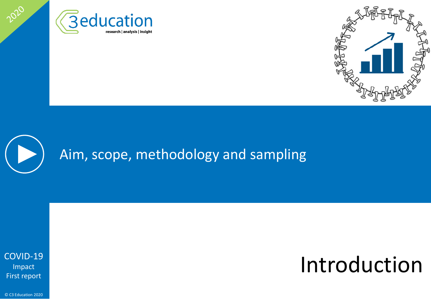



# Aim, scope, methodology and sampling

[COVID-19](#page-1-0) Impact First report

<span id="page-3-0"></span>2020

## Introduction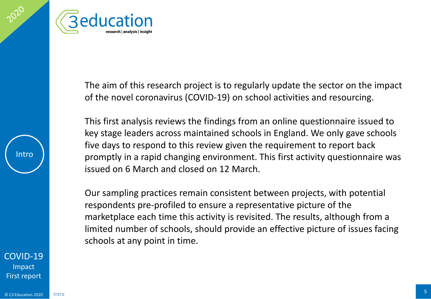



The aim of this research project is to regularly update the sector on the impact of the novel coronavirus (COVID-19) on school activities and resourcing.

This first analysis reviews the findings from an online questionnaire issued to key stage leaders across maintained schools in England. We only gave schools five days to respond to this review given the requirement to report back promptly in a rapid changing environment. This first activity questionnaire was issued on 6 March and closed on 12 March.

Our sampling practices remain consistent between projects, with potential respondents pre-profiled to ensure a representative picture of the marketplace each time this activity is revisited. The results, although from a limited number of schools, should provide an effective picture of issues facing schools at any point in time.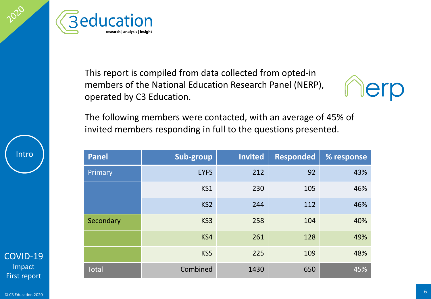

This report is compiled from data collected from opted-in members of the National Education Research Panel (NERP), operated by C3 Education.



The following members were contacted, with an average of 45% of invited members responding in full to the questions presented.

| Panel     | Sub-group       | <b>Invited</b> | <b>Responded</b> | % response |
|-----------|-----------------|----------------|------------------|------------|
| Primary   | <b>EYFS</b>     | 212            | 92               | 43%        |
|           | KS1             | 230            | 105              | 46%        |
|           | KS <sub>2</sub> | 244            | 112              | 46%        |
| Secondary | KS3             | 258            | 104              | 40%        |
|           | KS4             | 261            | 128              | 49%        |
|           | KS5             | 225            | 109              | 48%        |
| Total     | Combined        | 1430           | 650              | 45%        |

Intro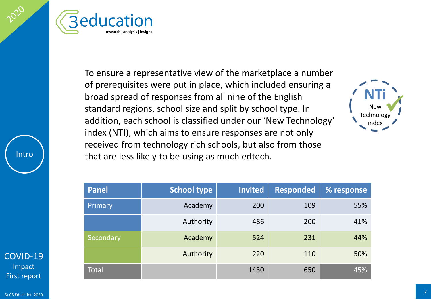



To ensure a representative view of the marketplace a number of prerequisites were put in place, which included ensuring a broad spread of responses from all nine of the English standard regions, school size and split by school type. In addition, each school is classified under our 'New Technology' index (NTI), which aims to ensure responses are not only received from technology rich schools, but also from those that are less likely to be using as much edtech.



| Panel        | <b>School type</b> | Invited | <b>Responded</b> | % response |
|--------------|--------------------|---------|------------------|------------|
| Primary      | Academy            | 200     | 109              | 55%        |
|              | Authority          | 486     | 200              | 41%        |
| Secondary    | Academy            | 524     | 231              | 44%        |
|              | Authority          | 220     | 110              | 50%        |
| <b>Total</b> |                    | 1430    | 650              | 45%        |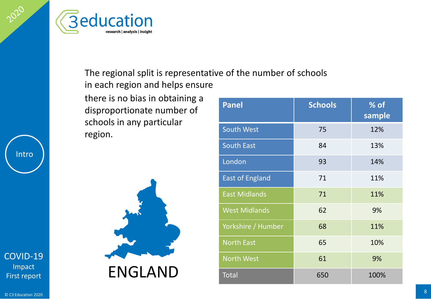



## The regional split is representative of the number of schools in each region and helps ensure

there is no bias in obtaining a disproportionate number of schools in any particular region.



| <b>Panel</b>           | <b>Schools</b> | % of<br>sample |
|------------------------|----------------|----------------|
| <b>South West</b>      | 75             | 12%            |
| <b>South East</b>      | 84             | 13%            |
| London                 | 93             | 14%            |
| <b>East of England</b> | 71             | 11%            |
| <b>East Midlands</b>   | 71             | 11%            |
| <b>West Midlands</b>   | 62             | 9%             |
| Yorkshire / Humber     | 68             | 11%            |
| <b>North East</b>      | 65             | 10%            |
| <b>North West</b>      | 61             | 9%             |
| <b>Total</b>           | 650            | 100%           |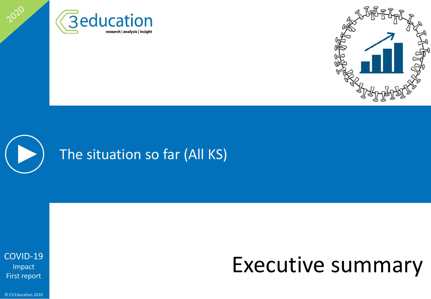





<span id="page-8-0"></span>2020

## Executive summary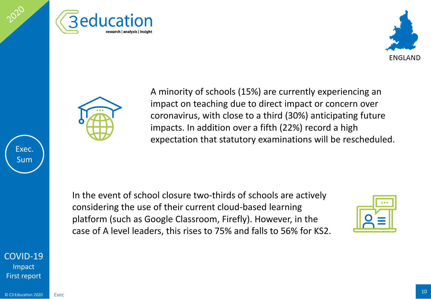





A minority of schools (15%) are currently experiencing an impact on teaching due to direct impact or concern over coronavirus, with close to a third (30%) anticipating future impacts. In addition over a fifth (22%) record a high expectation that statutory examinations will be rescheduled.

In the event of school closure two-thirds of schools are actively considering the use of their current cloud-based learning platform (such as Google Classroom, Firefly). However, in the case of A level leaders, this rises to 75% and falls to 56% for KS2.



[COVID-19](#page-1-0) Impact First report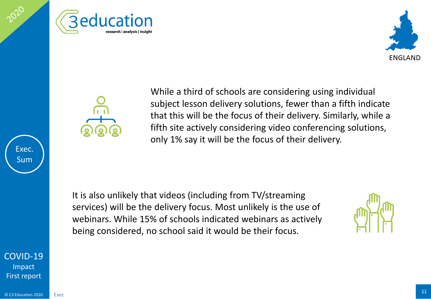





While a third of schools are considering using individual subject lesson delivery solutions, fewer than a fifth indicate that this will be the focus of their delivery. Similarly, while a fifth site actively considering video conferencing solutions, only 1% say it will be the focus of their delivery.

It is also unlikely that videos (including from TV/streaming services) will be the delivery focus. Most unlikely is the use of webinars. While 15% of schools indicated webinars as actively being considered, no school said it would be their focus.



[COVID-19](#page-1-0) Impact First report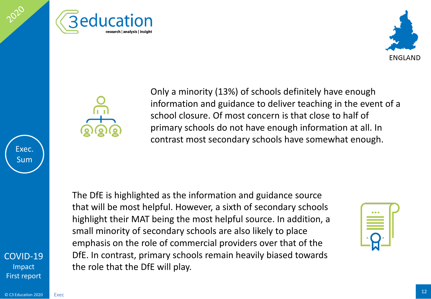





Only a minority (13%) of schools definitely have enough information and guidance to deliver teaching in the event of a school closure. Of most concern is that close to half of primary schools do not have enough information at all. In contrast most secondary schools have somewhat enough.

The DfE is highlighted as the information and guidance source that will be most helpful. However, a sixth of secondary schools highlight their MAT being the most helpful source. In addition, a small minority of secondary schools are also likely to place emphasis on the role of commercial providers over that of the DfE. In contrast, primary schools remain heavily biased towards the role that the DfE will play.



[COVID-19](#page-1-0) Impact First report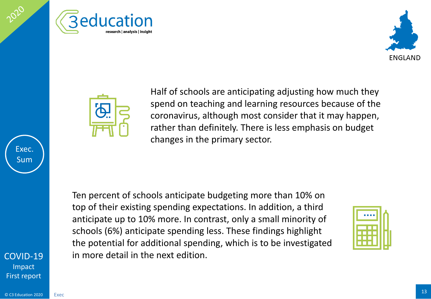





Half of schools are anticipating adjusting how much they spend on teaching and learning resources because of the coronavirus, although most consider that it may happen, rather than definitely. There is less emphasis on budget changes in the primary sector.

Ten percent of schools anticipate budgeting more than 10% on top of their existing spending expectations. In addition, a third anticipate up to 10% more. In contrast, only a small minority of schools (6%) anticipate spending less. These findings highlight the potential for additional spending, which is to be investigated in more detail in the next edition.



 $\overline{\textcirc}$  C3 Education 2020 13

Exec

[COVID-19](#page-1-0) Impact First report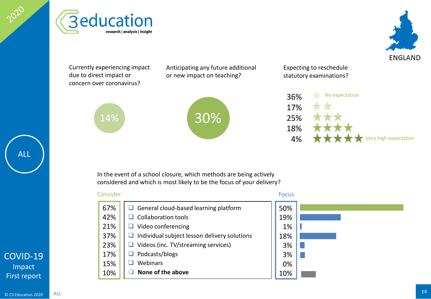



Currently experiencing impact

14%

due to direct impact or concern over coronavirus? Anticipating any future additional or new impact on teaching?



Expecting to reschedule statutory examinations?



**ENGLAND** 

In the event of a school closure, which methods are being actively considered and which is most likely to be the focus of your delivery?

#### General cloud-based learning platform  $\Box$  Collaboration tools  $\Box$  Video conferencing  $\Box$  Individual subject lesson delivery solutions  $\Box$  Videos (inc. TV/streaming services) Podcasts/blogs  $\Box$  Webinars **None of the above** Consider Focus 67% 42% 21% 37% 23% 17% 15% 10% 50% 19% 1% 18% 3% 3% 0% 10%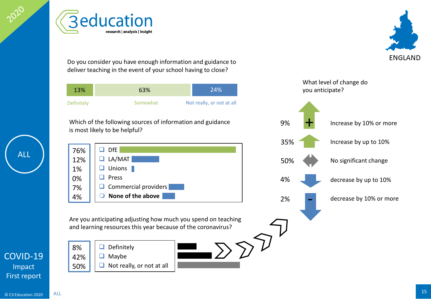**Beducation** research | analysis | insight

**ENGLAND** 

Do you consider you have enough information and guidance to deliver teaching in the event of your school having to close?



Which of the following sources of information and guidance is most likely to be helpful?



Are you anticipating adjusting how much you spend on teaching and learning resources this year because of the coronavirus?







Impact

ALL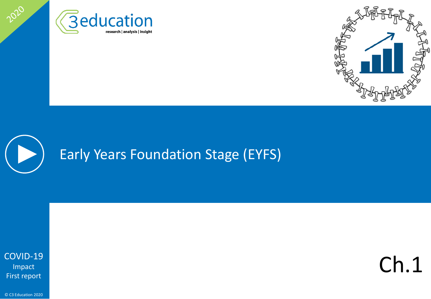



## Early Years Foundation Stage (EYFS)

[COVID-19](#page-1-0) Impact First report

<span id="page-15-0"></span>2020

Ch.1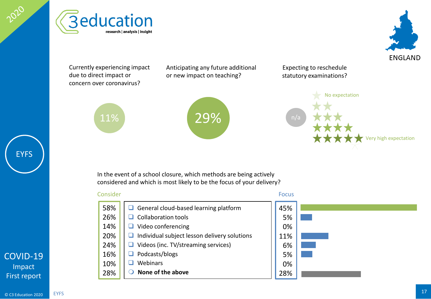





Currently experiencing impact due to direct impact or concern over coronavirus?

11%

Anticipating any future additional or new impact on teaching?



Expecting to reschedule statutory examinations?



In the event of a school closure, which methods are being actively considered and which is most likely to be the focus of your delivery?

General cloud-based learning platform  $\Box$  Collaboration tools  $\Box$  Video conferencing  $\Box$  Individual subject lesson delivery solutions  $\Box$  Videos (inc. TV/streaming services) □ Podcasts/blogs  $\Box$  Webinars **None of the above** 58% 26% 14% 20% 24% 16% 10% 28%

Consider Focus 45% 5% 0% 11% 6% 5% 0% 28%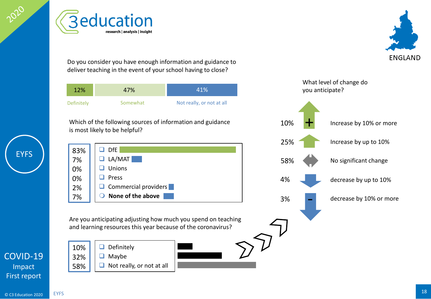<span id="page-17-0"></span>**Beducation** research | analysis | insight

Do you consider you have enough information and guidance to deliver teaching in the event of your school having to close?

| 12%        | 47%      | 41%                       |
|------------|----------|---------------------------|
| Definitely | Somewhat | Not really, or not at all |

Which of the following sources of information and guidance is most likely to be helpful?



Are you anticipating adjusting how much you spend on teaching and learning resources this year because of the coronavirus?



10% 32% 58%

EYFS

[COVID-19](#page-1-0) Impact





**EYFS** 

**ENGLAND**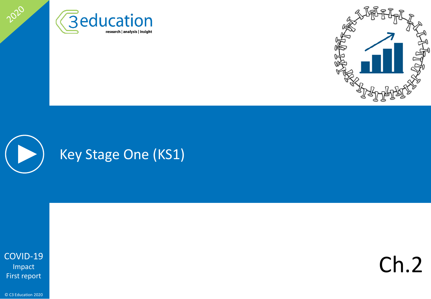





2020

Ch.2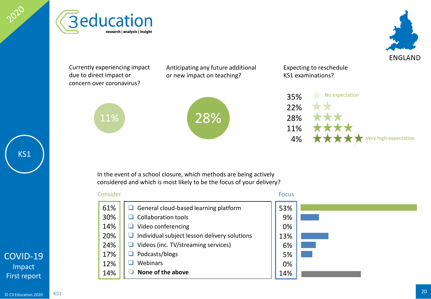





Currently experiencing impact due to direct impact or concern over coronavirus?

11%

Anticipating any future additional or new impact on teaching?



Expecting to reschedule KS1 examinations?



In the event of a school closure, which methods are being actively considered and which is most likely to be the focus of your delivery?

#### Consider Focus

#### General cloud-based learning platform  $\Box$  Collaboration tools  $\Box$  Video conferencing  $\Box$  Individual subject lesson delivery solutions  $\Box$  Videos (inc. TV/streaming services) Podcasts/blogs  $\Box$  Webinars **None of the above** 61% 30% 14% 20% 24% 17% 12% 14%

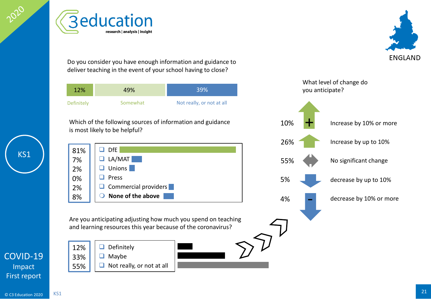KS1



Do you consider you have enough information and guidance to deliver teaching in the event of your school having to close?

| 12%                                 | 49%      | 39%                                       |  |
|-------------------------------------|----------|-------------------------------------------|--|
| Definitely                          | Somewhat | Not really, or not at all                 |  |
| $\cdots$ $\cdots$ $\cdots$ $\cdots$ | .        | $\sim$ $\sim$ $\sim$ $\sim$ $\sim$ $\sim$ |  |

Which of the following sources of information and guidance is most likely to be helpful?



Are you anticipating adjusting how much you spend on teaching and learning resources this year because of the coronavirus?





What level of change do



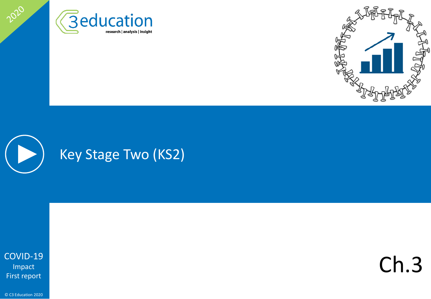





2020

Ch.3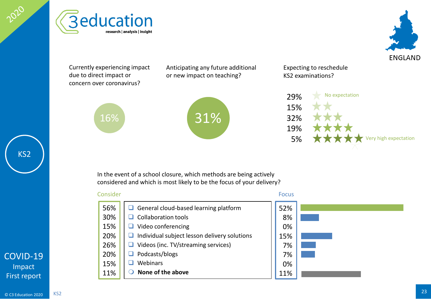





Currently experiencing impact due to direct impact or concern over coronavirus?

16%

Anticipating any future additional or new impact on teaching?



Expecting to reschedule KS2 examinations?



In the event of a school closure, which methods are being actively considered and which is most likely to be the focus of your delivery?

#### Consider Focus



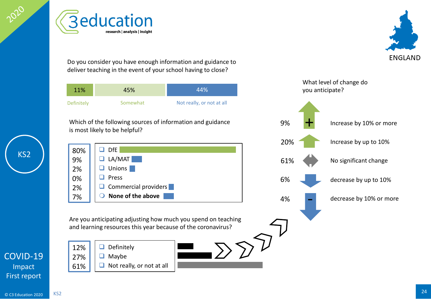

KS2

Are you anticipating adjusting how much you spend on teaching and learning resources this year because of the coronavirus?

- $\Box$  Definitely  $\Box$  Maybe 12% 27% 61%
	- $\Box$  Not really, or not at all

- $\Box$  DfE  $\Box$  LA/MAT **Unions**  $\Box$  Press  $\Box$  Commercial providers **None of the above** 80% 9% 2% 0% 2% 7%
- 
- Which of the following sources of information and guidance is most likely to be helpful?



**Beducation** 

research | analysis | insight



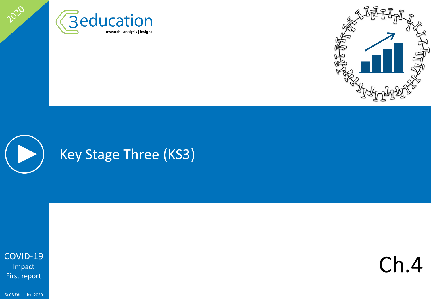





2020

Ch.4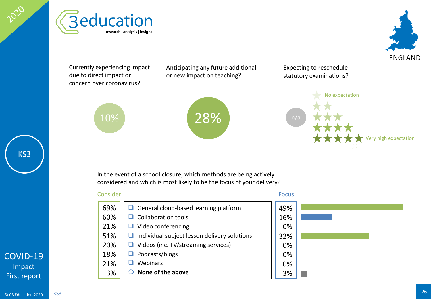<span id="page-25-0"></span>





Currently experiencing impact due to direct impact or concern over coronavirus?

10%

Anticipating any future additional or new impact on teaching?



Expecting to reschedule statutory examinations?



In the event of a school closure, which methods are being actively considered and which is most likely to be the focus of your delivery?

#### General cloud-based learning platform  $\Box$  Collaboration tools  $\Box$  Video conferencing  $\Box$  Individual subject lesson delivery solutions  $\Box$  Videos (inc. TV/streaming services) □ Podcasts/blogs  $\Box$  Webinars **None of the above** Consider Focus 69% 60% 21% 51% 20% 18% 21% 3% 49% 16% 0% 32% 0% 0% 0% 3%

## [COVID-19](#page-1-0) Impact First report

CC3 Education 2020 25 KS3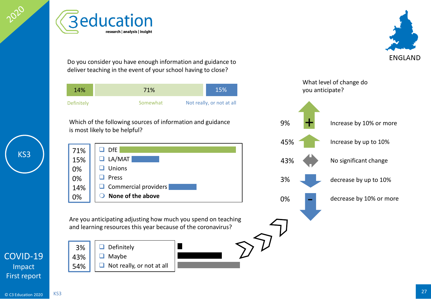**Beducation** Do you consider you have enough information and guidance to deliver teaching in the event of your school having to close? 14% 71% 15%Definitely **Somewhat** Not really, or not at all Which of the following sources of information and guidance is most likely to be helpful?

> $\Box$  DfE  $\Box$  LA/MAT **Unions**  $\Box$  Press  $\Box$  Commercial providers **None of the above** 71% 15% 0% 0% 14% 0%

research | analysis | insight

Are you anticipating adjusting how much you spend on teaching



KS3

and learning resources this year because of the coronavirus?  $\Box$  Definitely  $\Box$  Maybe  $\Box$  Not really, or not at all 3% 43% 54%



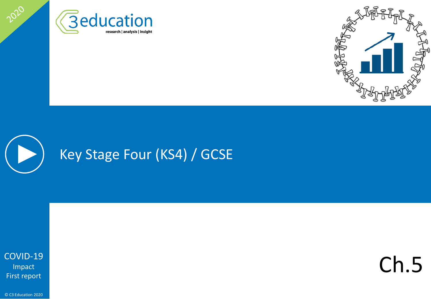





2020

Ch.5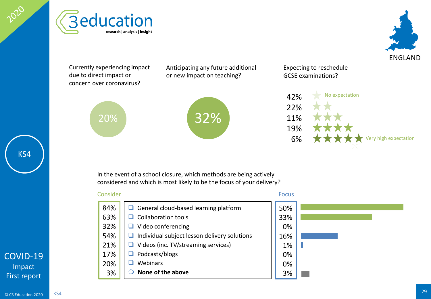





Currently experiencing impact due to direct impact or concern over coronavirus?

20%

Anticipating any future additional or new impact on teaching?



Expecting to reschedule GCSE examinations?



In the event of a school closure, which methods are being actively considered and which is most likely to be the focus of your delivery?

#### General cloud-based learning platform  $\Box$  Collaboration tools  $\Box$  Video conferencing  $\Box$  Individual subject lesson delivery solutions  $\Box$  Videos (inc. TV/streaming services) Podcasts/blogs  $\Box$  Webinars **None of the above** Consider Focus 84% 63% 32% 54% 21% 17% 20% 3% 50% 33% 0% 16% 1% 0% 0% 3%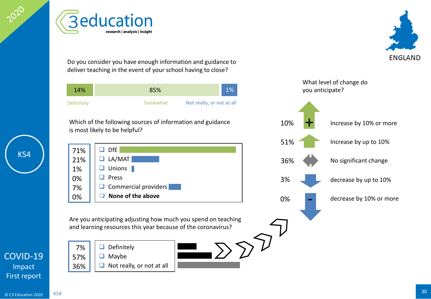Do you consider you have enough information and guidance to deliver teaching in the event of your school having to close?

| 14%        | 85%                                   | 10 <sub>o</sub> |
|------------|---------------------------------------|-----------------|
| Definitely | Not really, or not at all<br>Somewhat |                 |

Which of the following sources of information and guidance is most likely to be helpful?

 $\Box$  DfE  $\Box$  LA/MAT **Unions Press** Commercial providers **None of the above** 71% 21% 1% 0% 7% 0%

Are you anticipating adjusting how much you spend on teaching and learning resources this year because of the coronavirus?

 $\Box$  Definitely  $\Box$  Maybe  $\Box$  Not really, or not at all 7% 57% 36%



[COVID-19](#page-1-0) Impact First report

KS4





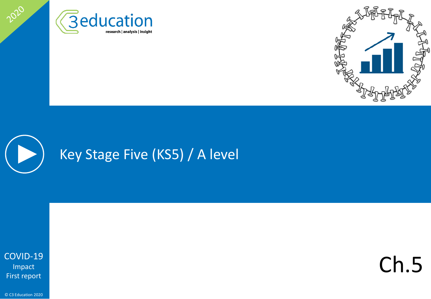





2020

Ch.5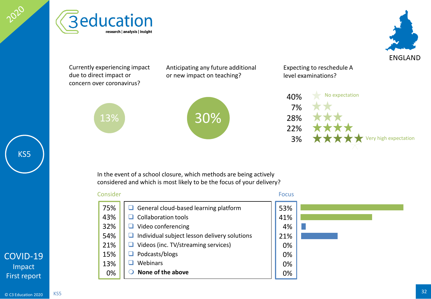





Currently experiencing impact due to direct impact or concern over coronavirus?

13%

Anticipating any future additional or new impact on teaching?



Expecting to reschedule A level examinations?



In the event of a school closure, which methods are being actively considered and which is most likely to be the focus of your delivery?

#### General cloud-based learning platform  $\Box$  Collaboration tools  $\Box$  Video conferencing  $\Box$  Individual subject lesson delivery solutions  $\Box$  Videos (inc. TV/streaming services) Podcasts/blogs  $\Box$  Webinars **None of the above** Consider Focus 75% 43% 32% 54% 21% 15% 13% 0% 53% 41% 4% 21% 0% 0% 0% 0%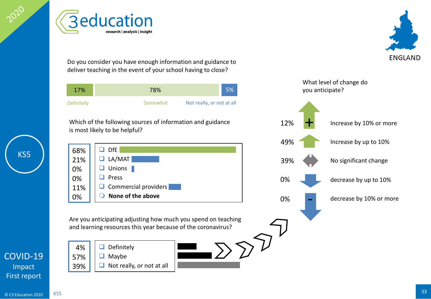Do you consider you have enough information and guidance to deliver teaching in the event of your school having to close?

| 17%        | 78%                                   | 5% |
|------------|---------------------------------------|----|
| Definitely | Not really, or not at all<br>Somewhat |    |

Which of the following sources of information and guidance is most likely to be helpful?

 $\Box$  DfE  $\Box$  LA/MAT **Unions Press** Commercial providers **None of the above** 68% 21% 0% 0% 11% 0%

Are you anticipating adjusting how much you spend on teaching and learning resources this year because of the coronavirus?

4% 57% 39%

 $\Box$  Definitely  $\Box$  Maybe

 $\Box$  Not really, or not at all

KS5



[COVID-19](#page-1-0) Impact First report

KS5





decrease by up to 10% -

+

12%

49%

39%

0%

0%

decrease by 10% or more





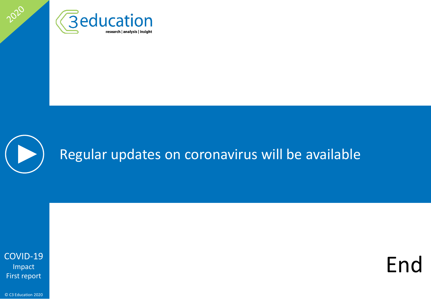



<span id="page-33-0"></span>2020

End